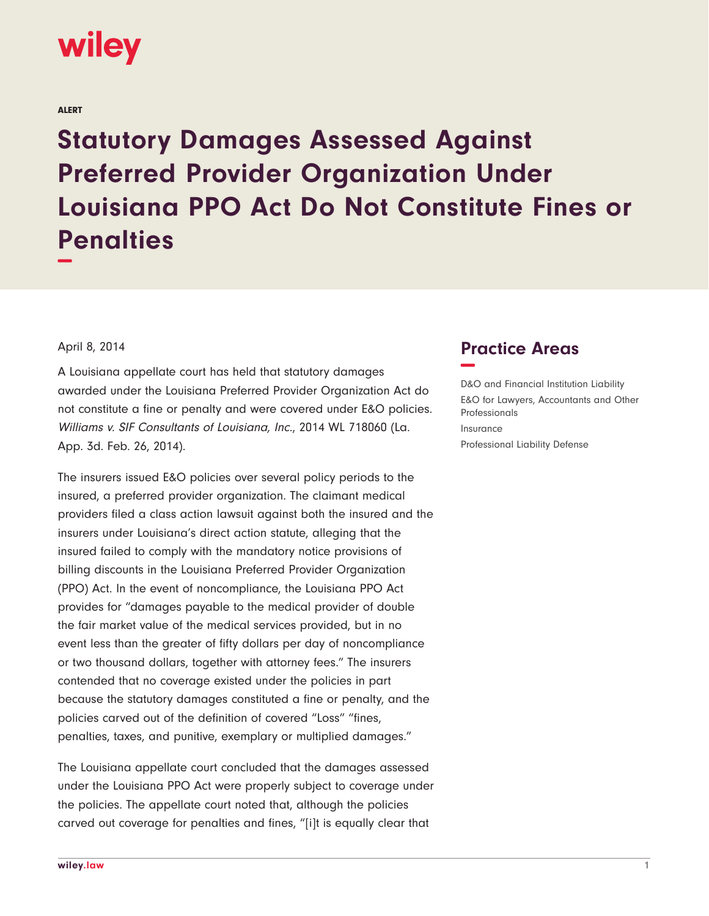## wiley

ALERT

**Statutory Damages Assessed Against Preferred Provider Organization Under Louisiana PPO Act Do Not Constitute Fines or Penalties −**

April 8, 2014

A Louisiana appellate court has held that statutory damages awarded under the Louisiana Preferred Provider Organization Act do not constitute a fine or penalty and were covered under E&O policies. Williams v. SIF Consultants of Louisiana, Inc., 2014 WL 718060 (La. App. 3d. Feb. 26, 2014).

The insurers issued E&O policies over several policy periods to the insured, a preferred provider organization. The claimant medical providers filed a class action lawsuit against both the insured and the insurers under Louisiana's direct action statute, alleging that the insured failed to comply with the mandatory notice provisions of billing discounts in the Louisiana Preferred Provider Organization (PPO) Act. In the event of noncompliance, the Louisiana PPO Act provides for "damages payable to the medical provider of double the fair market value of the medical services provided, but in no event less than the greater of fifty dollars per day of noncompliance or two thousand dollars, together with attorney fees." The insurers contended that no coverage existed under the policies in part because the statutory damages constituted a fine or penalty, and the policies carved out of the definition of covered "Loss" "fines, penalties, taxes, and punitive, exemplary or multiplied damages."

The Louisiana appellate court concluded that the damages assessed under the Louisiana PPO Act were properly subject to coverage under the policies. The appellate court noted that, although the policies carved out coverage for penalties and fines, "[i]t is equally clear that

## **Practice Areas −**

D&O and Financial Institution Liability E&O for Lawyers, Accountants and Other Professionals Insurance Professional Liability Defense